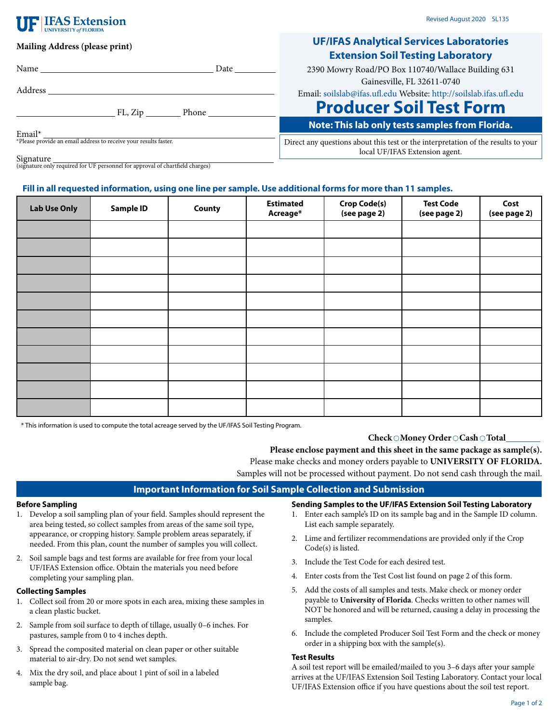# **IFAS Extension**

# **Mailing Address (please print)**

Address

| <b>UF/IFAS Analytical Services Laboratories</b> |
|-------------------------------------------------|
| <b>Extension Soil Testing Laboratory</b>        |

| 2390 Mowry Road/PO Box 110740/Wallace Building 631 |
|----------------------------------------------------|
| Gainesville, FL 32611-0740                         |

Email: [soilslab@ifas.ufl.edu](mailto:soilslab@ifas.ufl.edu) Website:<http://soilslab.ifas.ufl.edu>

# **Producer Soil Test Form**

**Note: This lab only tests samples from Florida.**

Email\* \*Please provide an email address to receive your results faster.

Direct any questions about this test or the interpretation of the results to your local UF/IFAS Extension agent.

Signature (signature only required for UF personnel for approval of chartfield charges)

Name Date

FL, Zip Phone

# **Fill in all requested information, using one line per sample. Use additional forms for more than 11 samples.**

| <b>Lab Use Only</b> | <b>Sample ID</b> | County | <b>Estimated</b><br>Acreage* | <b>Crop Code(s)</b><br>(see page 2) | <b>Test Code</b><br>(see page 2) | Cost<br>(see page 2) |
|---------------------|------------------|--------|------------------------------|-------------------------------------|----------------------------------|----------------------|
|                     |                  |        |                              |                                     |                                  |                      |
|                     |                  |        |                              |                                     |                                  |                      |
|                     |                  |        |                              |                                     |                                  |                      |
|                     |                  |        |                              |                                     |                                  |                      |
|                     |                  |        |                              |                                     |                                  |                      |
|                     |                  |        |                              |                                     |                                  |                      |
|                     |                  |        |                              |                                     |                                  |                      |
|                     |                  |        |                              |                                     |                                  |                      |
|                     |                  |        |                              |                                     |                                  |                      |
|                     |                  |        |                              |                                     |                                  |                      |
|                     |                  |        |                              |                                     |                                  |                      |

\* This information is used to compute the total acreage served by the UF/IFAS Soil Testing Program.

# Check  $\odot$  Money Order  $\odot$  Cash  $\odot$  Total

**Please enclose payment and this sheet in the same package as sample(s).**

Please make checks and money orders payable to **UNIVERSITY OF FLORIDA.** Samples will not be processed without payment. Do not send cash through the mail.

# **Important Information for Soil Sample Collection and Submission**

#### **Before Sampling**

- 1. Develop a soil sampling plan of your field. Samples should represent the area being tested, so collect samples from areas of the same soil type, appearance, or cropping history. Sample problem areas separately, if needed. From this plan, count the number of samples you will collect.
- 2. Soil sample bags and test forms are available for free from your local UF/IFAS Extension office. Obtain the materials you need before completing your sampling plan.

## **Collecting Samples**

- 1. Collect soil from 20 or more spots in each area, mixing these samples in a clean plastic bucket.
- 2. Sample from soil surface to depth of tillage, usually 0–6 inches. For pastures, sample from 0 to 4 inches depth.
- 3. Spread the composited material on clean paper or other suitable material to air-dry. Do not send wet samples.
- 4. Mix the dry soil, and place about 1 pint of soil in a labeled sample bag.

**Sending Samples to the UF/IFAS Extension Soil Testing Laboratory**

- 1. Enter each sample's ID on its sample bag and in the Sample ID column. List each sample separately.
- 2. Lime and fertilizer recommendations are provided only if the Crop Code(s) is listed.
- 3. Include the Test Code for each desired test.
- 4. Enter costs from the Test Cost list found on page 2 of this form.
- 5. Add the costs of all samples and tests. Make check or money order payable to **University of Florida**. Checks written to other names will NOT be honored and will be returned, causing a delay in processing the samples.
- 6. Include the completed Producer Soil Test Form and the check or money order in a shipping box with the sample(s).

#### **Test Results**

A soil test report will be emailed/mailed to you 3–6 days after your sample arrives at the UF/IFAS Extension Soil Testing Laboratory. Contact your local UF/IFAS Extension office if you have questions about the soil test report.